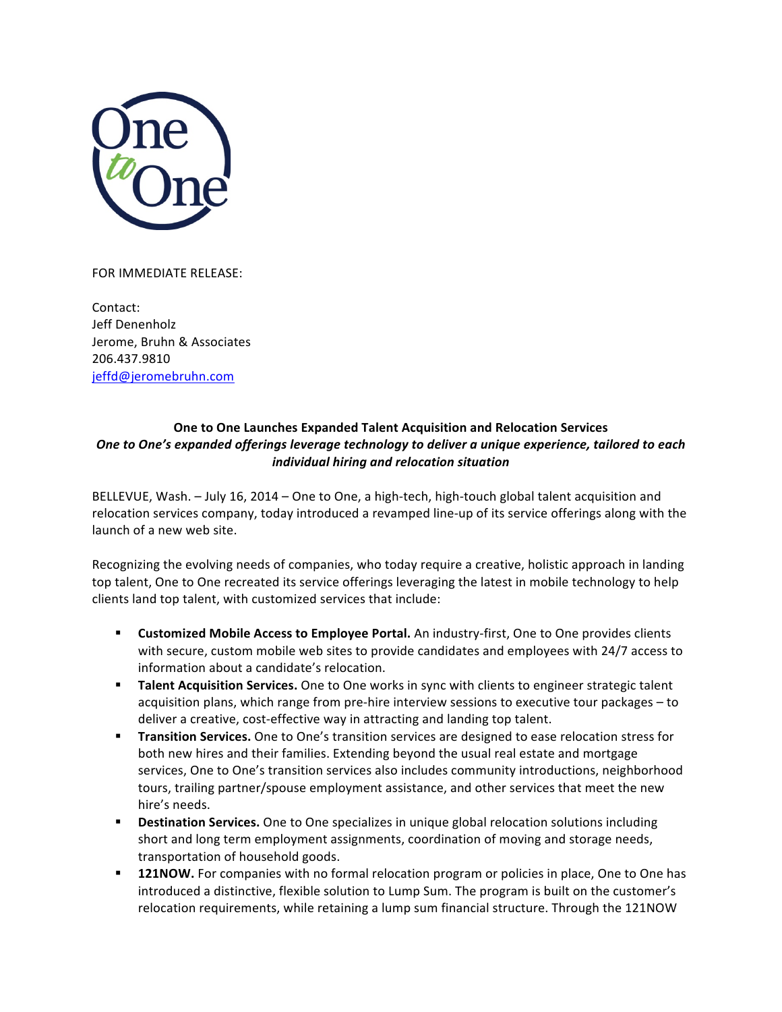

## FOR IMMEDIATE RELEASE:

Contact: Jeff Denenholz Jerome, Bruhn & Associates 206.437.9810 jeffd@jeromebruhn.com

## **One to One Launches Expanded Talent Acquisition and Relocation Services** *One* to One's expanded offerings leverage technology to deliver a unique experience, tailored to each *individual hiring and relocation situation*

BELLEVUE, Wash. - July 16, 2014 - One to One, a high-tech, high-touch global talent acquisition and relocation services company, today introduced a revamped line-up of its service offerings along with the launch of a new web site.

Recognizing the evolving needs of companies, who today require a creative, holistic approach in landing top talent, One to One recreated its service offerings leveraging the latest in mobile technology to help clients land top talent, with customized services that include:

- **Example 2 I Customized Mobile Access to Employee Portal.** An industry-first, One to One provides clients with secure, custom mobile web sites to provide candidates and employees with 24/7 access to information about a candidate's relocation.
- **Talent Acquisition Services.** One to One works in sync with clients to engineer strategic talent acquisition plans, which range from pre-hire interview sessions to executive tour packages – to deliver a creative, cost-effective way in attracting and landing top talent.
- **Transition Services.** One to One's transition services are designed to ease relocation stress for both new hires and their families. Extending beyond the usual real estate and mortgage services, One to One's transition services also includes community introductions, neighborhood tours, trailing partner/spouse employment assistance, and other services that meet the new hire's needs.
- **E** Destination Services. One to One specializes in unique global relocation solutions including short and long term employment assignments, coordination of moving and storage needs, transportation of household goods.
- **121NOW.** For companies with no formal relocation program or policies in place, One to One has introduced a distinctive, flexible solution to Lump Sum. The program is built on the customer's relocation requirements, while retaining a lump sum financial structure. Through the 121NOW